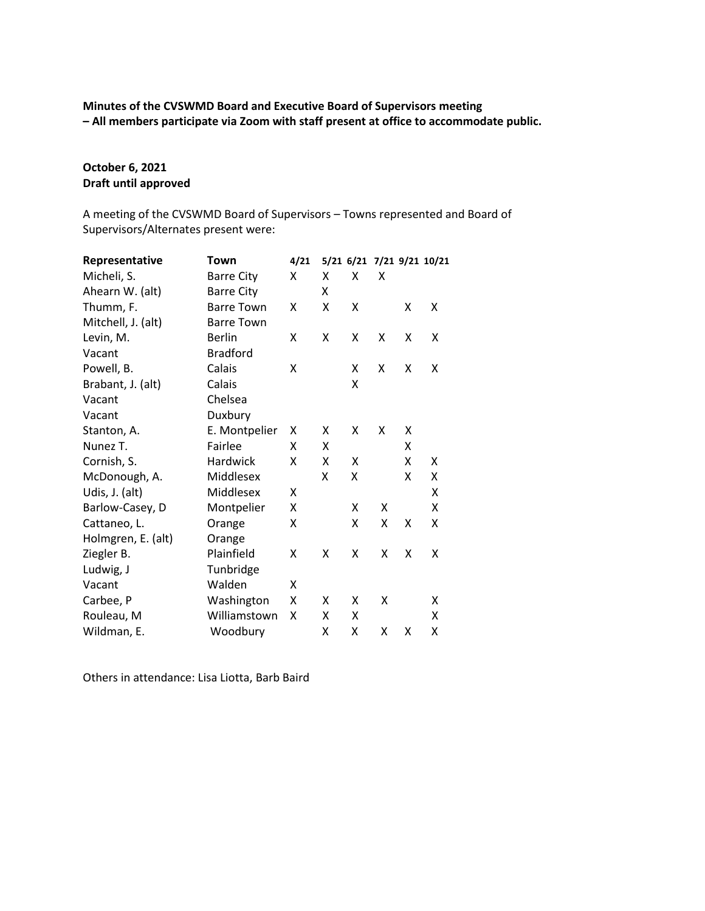# **Minutes of the CVSWMD Board and Executive Board of Supervisors meeting – All members participate via Zoom with staff present at office to accommodate public.**

# **October 6, 2021 Draft until approved**

A meeting of the CVSWMD Board of Supervisors – Towns represented and Board of Supervisors/Alternates present were:

| Representative     | Town              | 4/21 |   |   |   |   | 5/21 6/21 7/21 9/21 10/21 |
|--------------------|-------------------|------|---|---|---|---|---------------------------|
| Micheli, S.        | <b>Barre City</b> | x    | Χ | x | X |   |                           |
| Ahearn W. (alt)    | <b>Barre City</b> |      | x |   |   |   |                           |
| Thumm, F.          | <b>Barre Town</b> | Χ    | X | X |   | x | X                         |
| Mitchell, J. (alt) | <b>Barre Town</b> |      |   |   |   |   |                           |
| Levin, M.          | <b>Berlin</b>     | Χ    | Χ | x | Χ | Χ | Χ                         |
| Vacant             | <b>Bradford</b>   |      |   |   |   |   |                           |
| Powell, B.         | Calais            | Χ    |   | X | Χ | Χ | X                         |
| Brabant, J. (alt)  | Calais            |      |   | X |   |   |                           |
| Vacant             | Chelsea           |      |   |   |   |   |                           |
| Vacant             | Duxbury           |      |   |   |   |   |                           |
| Stanton, A.        | E. Montpelier     | х    | Χ | X | X | X |                           |
| Nunez T.           | Fairlee           | x    | X |   |   | x |                           |
| Cornish, S.        | Hardwick          | Χ    | Χ | X |   | X | X                         |
| McDonough, A.      | Middlesex         |      | Χ | x |   | X | x                         |
| Udis, J. (alt)     | Middlesex         | X    |   |   |   |   | X                         |
| Barlow-Casey, D    | Montpelier        | x    |   | X | Χ |   | X                         |
| Cattaneo, L.       | Orange            | χ    |   | x | Χ | Χ | X                         |
| Holmgren, E. (alt) | Orange            |      |   |   |   |   |                           |
| Ziegler B.         | Plainfield        | Χ    | Χ | Χ | Χ | Χ | Χ                         |
| Ludwig, J          | Tunbridge         |      |   |   |   |   |                           |
| Vacant             | Walden            | Χ    |   |   |   |   |                           |
| Carbee, P          | Washington        | x    | x | x | Χ |   | x                         |
| Rouleau, M         | Williamstown      | X    | Χ | X |   |   | X                         |
| Wildman, E.        | Woodbury          |      | X | X | Χ | Χ | Χ                         |

Others in attendance: Lisa Liotta, Barb Baird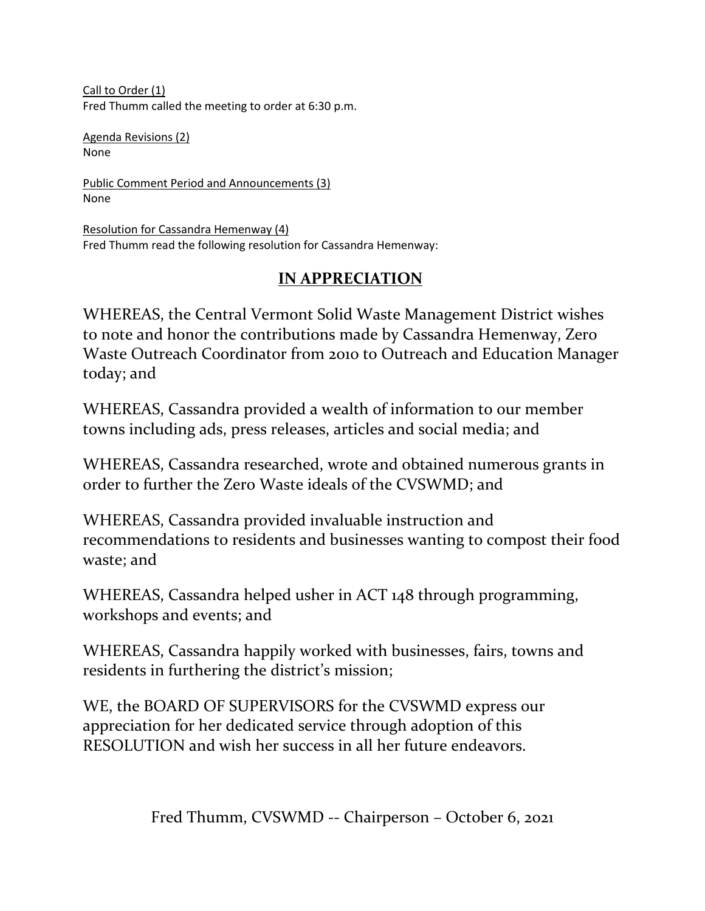Call to Order (1) Fred Thumm called the meeting to order at 6:30 p.m.

Agenda Revisions (2) None

Public Comment Period and Announcements (3) None

Resolution for Cassandra Hemenway (4) Fred Thumm read the following resolution for Cassandra Hemenway:

# **IN APPRECIATION**

WHEREAS, the Central Vermont Solid Waste Management District wishes to note and honor the contributions made by Cassandra Hemenway, Zero Waste Outreach Coordinator from 2010 to Outreach and Education Manager today; and

WHEREAS, Cassandra provided a wealth of information to our member towns including ads, press releases, articles and social media; and

WHEREAS, Cassandra researched, wrote and obtained numerous grants in order to further the Zero Waste ideals of the CVSWMD; and

WHEREAS, Cassandra provided invaluable instruction and recommendations to residents and businesses wanting to compost their food waste; and

WHEREAS, Cassandra helped usher in ACT 148 through programming, workshops and events; and

WHEREAS, Cassandra happily worked with businesses, fairs, towns and residents in furthering the district's mission;

WE, the BOARD OF SUPERVISORS for the CVSWMD express our appreciation for her dedicated service through adoption of this RESOLUTION and wish her success in all her future endeavors.